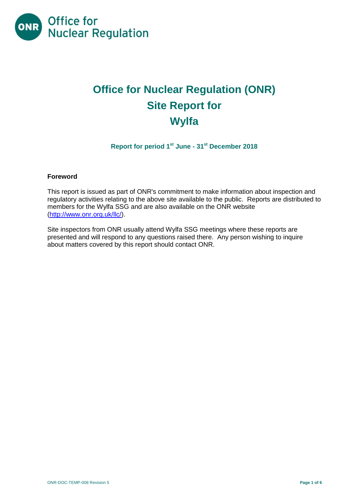

# **Office for Nuclear Regulation (ONR) Site Report for Wylfa**

**Report for period 1 st June - 31 st December 2018**

#### **Foreword**

This report is issued as part of ONR's commitment to make information about inspection and regulatory activities relating to the above site available to the public. Reports are distributed to members for the Wylfa SSG and are also available on the ONR website [\(http://www.onr.org.uk/llc/\)](http://www.onr.org.uk/llc/).

Site inspectors from ONR usually attend Wylfa SSG meetings where these reports are presented and will respond to any questions raised there. Any person wishing to inquire about matters covered by this report should contact ONR.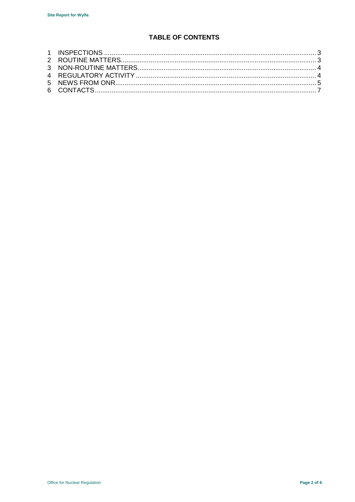# **TABLE OF CONTENTS**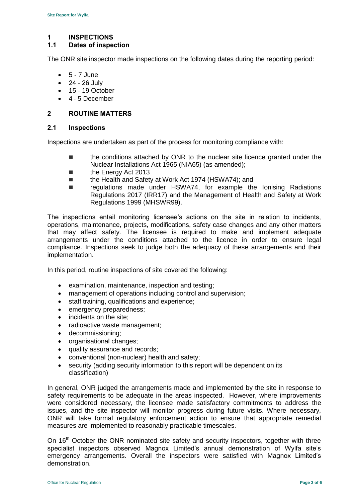#### <span id="page-2-0"></span>**1 INSPECTIONS**

#### **1.1 Dates of inspection**

The ONR site inspector made inspections on the following dates during the reporting period:

- $-5 7$  June
- $-24 26$  July
- $-15 19$  October
- 4 5 December

#### <span id="page-2-1"></span>**2 ROUTINE MATTERS**

#### **2.1 Inspections**

Inspections are undertaken as part of the process for monitoring compliance with:

- the conditions attached by ONR to the nuclear site licence granted under the Nuclear Installations Act 1965 (NIA65) (as amended);
- **the Energy Act 2013**
- the Health and Safety at Work Act 1974 (HSWA74); and
- regulations made under HSWA74, for example the Ionising Radiations Regulations 2017 (IRR17) and the Management of Health and Safety at Work Regulations 1999 (MHSWR99).

The inspections entail monitoring licensee's actions on the site in relation to incidents, operations, maintenance, projects, modifications, safety case changes and any other matters that may affect safety. The licensee is required to make and implement adequate arrangements under the conditions attached to the licence in order to ensure legal compliance. Inspections seek to judge both the adequacy of these arrangements and their implementation.

In this period, routine inspections of site covered the following:

- examination, maintenance, inspection and testing;
- management of operations including control and supervision;
- staff training, qualifications and experience;
- emergency preparedness;
- incidents on the site;
- radioactive waste management;
- decommissioning;
- organisational changes;
- quality assurance and records;
- conventional (non-nuclear) health and safety;
- security (adding security information to this report will be dependent on its classification)

In general, ONR judged the arrangements made and implemented by the site in response to safety requirements to be adequate in the areas inspected. However, where improvements were considered necessary, the licensee made satisfactory commitments to address the issues, and the site inspector will monitor progress during future visits. Where necessary, ONR will take formal regulatory enforcement action to ensure that appropriate remedial measures are implemented to reasonably practicable timescales.

On 16<sup>th</sup> October the ONR nominated site safety and security inspectors, together with three specialist inspectors observed Magnox Limited's annual demonstration of Wylfa site's emergency arrangements. Overall the inspectors were satisfied with Magnox Limited's demonstration.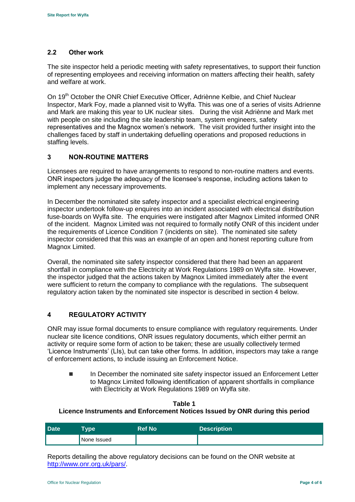#### **2.2 Other work**

The site inspector held a periodic meeting with safety representatives, to support their function of representing employees and receiving information on matters affecting their health, safety and welfare at work.

On 19<sup>th</sup> October the ONR Chief Executive Officer, Adriènne Kelbie, and Chief Nuclear Inspector, Mark Foy, made a planned visit to Wylfa. This was one of a series of visits Adrienne and Mark are making this year to UK nuclear sites. During the visit Adriènne and Mark met with people on site including the site leadership team, system engineers, safety representatives and the Magnox women's network. The visit provided further insight into the challenges faced by staff in undertaking defuelling operations and proposed reductions in staffing levels.

#### <span id="page-3-0"></span>**3 NON-ROUTINE MATTERS**

Licensees are required to have arrangements to respond to non-routine matters and events. ONR inspectors judge the adequacy of the licensee's response, including actions taken to implement any necessary improvements.

In December the nominated site safety inspector and a specialist electrical engineering inspector undertook follow-up enquires into an incident associated with electrical distribution fuse-boards on Wylfa site. The enquiries were instigated after Magnox Limited informed ONR of the incident. Magnox Limited was not required to formally notify ONR of this incident under the requirements of Licence Condition 7 (incidents on site). The nominated site safety inspector considered that this was an example of an open and honest reporting culture from Magnox Limited.

Overall, the nominated site safety inspector considered that there had been an apparent shortfall in compliance with the Electricity at Work Regulations 1989 on Wylfa site. However, the inspector judged that the actions taken by Magnox Limited immediately after the event were sufficient to return the company to compliance with the regulations. The subsequent regulatory action taken by the nominated site inspector is described in section 4 below.

## <span id="page-3-1"></span>**4 REGULATORY ACTIVITY**

ONR may issue formal documents to ensure compliance with regulatory requirements. Under nuclear site licence conditions, ONR issues regulatory documents, which either permit an activity or require some form of action to be taken; these are usually collectively termed 'Licence Instruments' (LIs), but can take other forms. In addition, inspectors may take a range of enforcement actions, to include issuing an Enforcement Notice.

■ In December the nominated site safety inspector issued an Enforcement Letter to Magnox Limited following identification of apparent shortfalls in compliance with Electricity at Work Regulations 1989 on Wylfa site.

# **Table 1 Licence Instruments and Enforcement Notices Issued by ONR during this period**

| <b>Date</b> | <b>Type</b> | <b>Ref No</b> | <b>Description</b> |
|-------------|-------------|---------------|--------------------|
|             | None Issued |               |                    |

Reports detailing the above regulatory decisions can be found on the ONR website at [http://www.onr.org.uk/pars/.](http://www.onr.org.uk/pars/)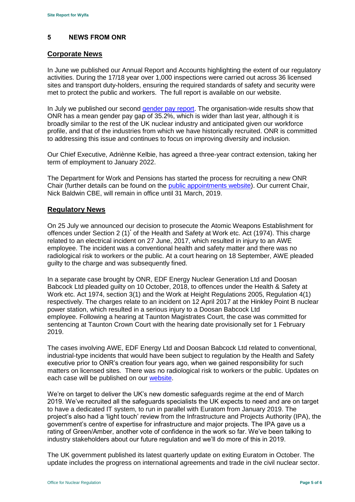#### <span id="page-4-0"></span>**5 NEWS FROM ONR**

#### **Corporate News**

In June we published our Annual Report and Accounts highlighting the extent of our regulatory activities. During the 17/18 year over 1,000 inspections were carried out across 36 licensed sites and transport duty-holders, ensuring the required standards of safety and security were met to protect the public and workers. The full report is available on our website.

In July we published our second [gender pay report.](http://news.onr.org.uk/2018/07/onr-publishes-second-gender-pay-report/) The organisation-wide results show that ONR has a mean gender pay gap of 35.2%, which is wider than last year, although it is broadly similar to the rest of the UK nuclear industry and anticipated given our workforce profile, and that of the industries from which we have historically recruited. ONR is committed to addressing this issue and continues to focus on improving diversity and inclusion.

Our Chief Executive, Adriènne Kelbie, has agreed a three-year contract extension, taking her term of employment to January 2022.

The Department for Work and Pensions has started the process for recruiting a new ONR Chair (further details can be found on the [public appointments website\)](https://publicappointments.cabinetoffice.gov.uk/appointment/chair-the-office-for-nuclear-regulations/). Our current Chair, Nick Baldwin CBE, will remain in office until 31 March, 2019.

#### **Regulatory News**

On 25 July we announced our decision to prosecute the Atomic Weapons Establishment for offences under Section 2 (1)<sup>\*</sup> of the Health and Safety at Work etc. Act (1974). This charge related to an electrical incident on 27 June, 2017, which resulted in injury to an AWE employee. The incident was a conventional health and safety matter and there was no radiological risk to workers or the public. At a court hearing on 18 September, AWE pleaded guilty to the charge and was subsequently fined.

In a separate case brought by ONR, EDF Energy Nuclear Generation Ltd and Doosan Babcock Ltd pleaded guilty on 10 October, 2018, to offences under the Health & Safety at Work etc. Act 1974, section 3(1) and the Work at Height Regulations 2005, Regulation 4(1) respectively. The charges relate to an incident on 12 April 2017 at the Hinkley Point B nuclear power station, which resulted in a serious injury to a Doosan Babcock Ltd employee. Following a hearing at Taunton Magistrates Court, the case was committed for sentencing at Taunton Crown Court with the hearing date provisionally set for 1 February 2019.

The cases involving AWE, EDF Energy Ltd and Doosan Babcock Ltd related to conventional, industrial-type incidents that would have been subject to regulation by the Health and Safety executive prior to ONR's creation four years ago, when we gained responsibility for such matters on licensed sites. There was no radiological risk to workers or the public. Updates on each case will be published on our [website.](http://www.onr.org.uk/index.htm)

We're on target to deliver the UK's new domestic safeguards regime at the end of March 2019. We've recruited all the safeguards specialists the UK expects to need and are on target to have a dedicated IT system, to run in parallel with Euratom from January 2019. The project's also had a 'light touch' review from the Infrastructure and Projects Authority (IPA), the government's centre of expertise for infrastructure and major projects. The IPA gave us a rating of Green/Amber, another vote of confidence in the work so far. We've been talking to industry stakeholders about our future regulation and we'll do more of this in 2019.

The UK government published its latest quarterly update on exiting Euratom in October. The update includes the progress on international agreements and trade in the civil nuclear sector.